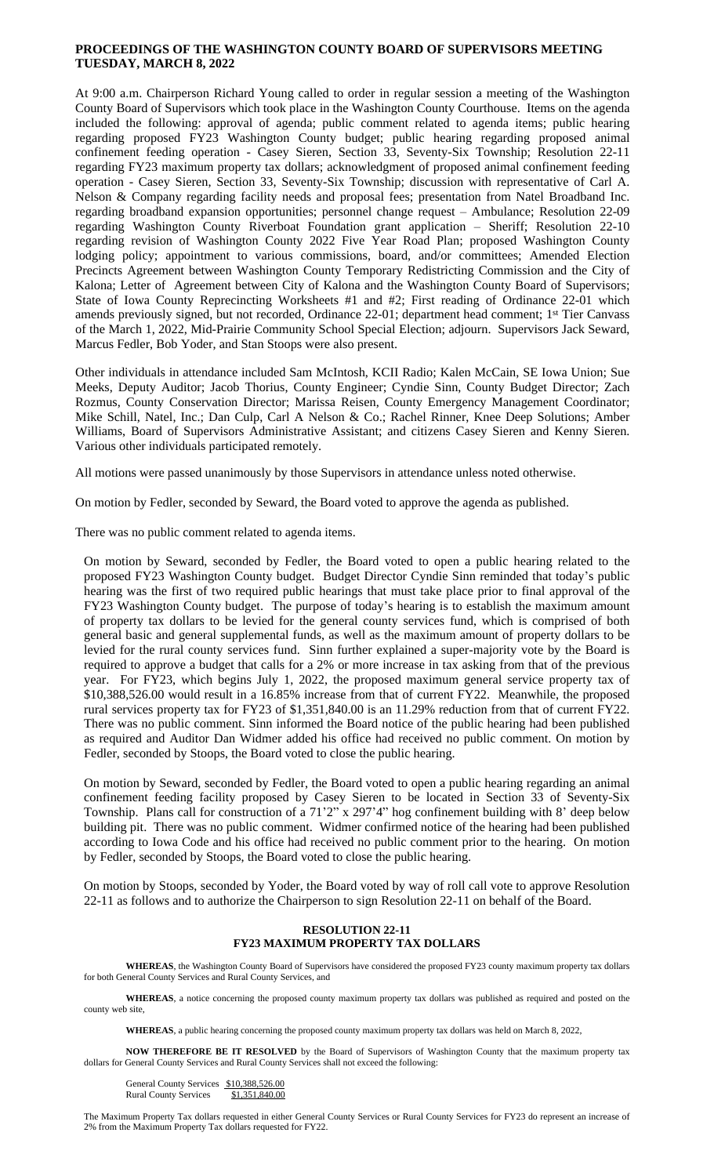# **PROCEEDINGS OF THE WASHINGTON COUNTY BOARD OF SUPERVISORS MEETING TUESDAY, MARCH 8, 2022**

At 9:00 a.m. Chairperson Richard Young called to order in regular session a meeting of the Washington County Board of Supervisors which took place in the Washington County Courthouse. Items on the agenda included the following: approval of agenda; public comment related to agenda items; public hearing regarding proposed FY23 Washington County budget; public hearing regarding proposed animal confinement feeding operation - Casey Sieren, Section 33, Seventy-Six Township; Resolution 22-11 regarding FY23 maximum property tax dollars; acknowledgment of proposed animal confinement feeding operation - Casey Sieren, Section 33, Seventy-Six Township; discussion with representative of Carl A. Nelson & Company regarding facility needs and proposal fees; presentation from Natel Broadband Inc. regarding broadband expansion opportunities; personnel change request – Ambulance; Resolution 22-09 regarding Washington County Riverboat Foundation grant application – Sheriff; Resolution 22-10 regarding revision of Washington County 2022 Five Year Road Plan; proposed Washington County lodging policy; appointment to various commissions, board, and/or committees; Amended Election Precincts Agreement between Washington County Temporary Redistricting Commission and the City of Kalona; Letter of Agreement between City of Kalona and the Washington County Board of Supervisors; State of Iowa County Reprecincting Worksheets #1 and #2; First reading of Ordinance 22-01 which amends previously signed, but not recorded, Ordinance 22-01; department head comment; 1 st Tier Canvass of the March 1, 2022, Mid-Prairie Community School Special Election; adjourn. Supervisors Jack Seward, Marcus Fedler, Bob Yoder, and Stan Stoops were also present.

Other individuals in attendance included Sam McIntosh, KCII Radio; Kalen McCain, SE Iowa Union; Sue Meeks, Deputy Auditor; Jacob Thorius, County Engineer; Cyndie Sinn, County Budget Director; Zach Rozmus, County Conservation Director; Marissa Reisen, County Emergency Management Coordinator; Mike Schill, Natel, Inc.; Dan Culp, Carl A Nelson & Co.; Rachel Rinner, Knee Deep Solutions; Amber Williams, Board of Supervisors Administrative Assistant; and citizens Casey Sieren and Kenny Sieren. Various other individuals participated remotely.

All motions were passed unanimously by those Supervisors in attendance unless noted otherwise.

On motion by Fedler, seconded by Seward, the Board voted to approve the agenda as published.

There was no public comment related to agenda items.

On motion by Seward, seconded by Fedler, the Board voted to open a public hearing related to the proposed FY23 Washington County budget. Budget Director Cyndie Sinn reminded that today's public hearing was the first of two required public hearings that must take place prior to final approval of the FY23 Washington County budget. The purpose of today's hearing is to establish the maximum amount of property tax dollars to be levied for the general county services fund, which is comprised of both general basic and general supplemental funds, as well as the maximum amount of property dollars to be levied for the rural county services fund. Sinn further explained a super-majority vote by the Board is required to approve a budget that calls for a 2% or more increase in tax asking from that of the previous year. For FY23, which begins July 1, 2022, the proposed maximum general service property tax of \$10,388,526.00 would result in a 16.85% increase from that of current FY22. Meanwhile, the proposed rural services property tax for FY23 of \$1,351,840.00 is an 11.29% reduction from that of current FY22. There was no public comment. Sinn informed the Board notice of the public hearing had been published as required and Auditor Dan Widmer added his office had received no public comment. On motion by Fedler, seconded by Stoops, the Board voted to close the public hearing.

On motion by Seward, seconded by Fedler, the Board voted to open a public hearing regarding an animal confinement feeding facility proposed by Casey Sieren to be located in Section 33 of Seventy-Six Township. Plans call for construction of a 71'2" x 297'4" hog confinement building with 8' deep below building pit. There was no public comment. Widmer confirmed notice of the hearing had been published according to Iowa Code and his office had received no public comment prior to the hearing. On motion by Fedler, seconded by Stoops, the Board voted to close the public hearing.

On motion by Stoops, seconded by Yoder, the Board voted by way of roll call vote to approve Resolution 22-11 as follows and to authorize the Chairperson to sign Resolution 22-11 on behalf of the Board.

### **RESOLUTION 22-11 FY23 MAXIMUM PROPERTY TAX DOLLARS**

**WHEREAS**, the Washington County Board of Supervisors have considered the proposed FY23 county maximum property tax dollars for both General County Services and Rural County Services, and

**WHEREAS**, a notice concerning the proposed county maximum property tax dollars was published as required and posted on the county web site,

**WHEREAS**, a public hearing concerning the proposed county maximum property tax dollars was held on March 8, 2022,

**NOW THEREFORE BE IT RESOLVED** by the Board of Supervisors of Washington County that the maximum property tax dollars for General County Services and Rural County Services shall not exceed the following:

General County Services \$10,388,526.00 Rural County Services \$1,351,840.00

The Maximum Property Tax dollars requested in either General County Services or Rural County Services for FY23 do represent an increase of 2% from the Maximum Property Tax dollars requested for FY22.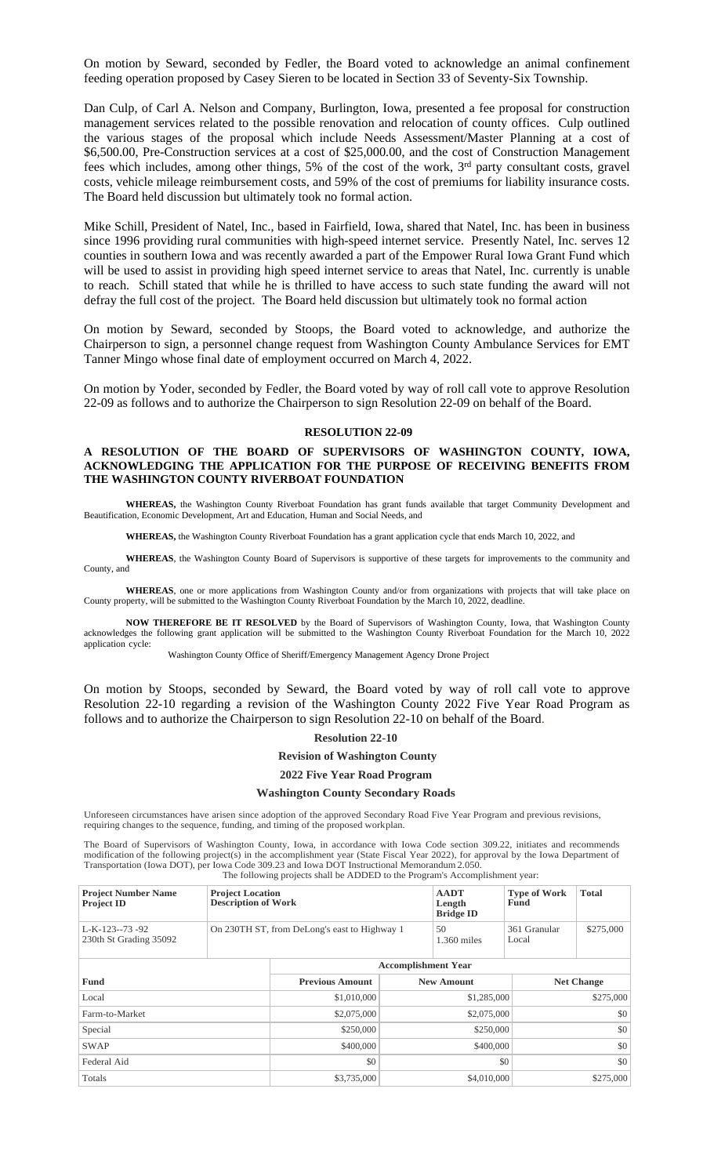On motion by Seward, seconded by Fedler, the Board voted to acknowledge an animal confinement feeding operation proposed by Casey Sieren to be located in Section 33 of Seventy-Six Township.

Dan Culp, of Carl A. Nelson and Company, Burlington, Iowa, presented a fee proposal for construction management services related to the possible renovation and relocation of county offices. Culp outlined the various stages of the proposal which include Needs Assessment/Master Planning at a cost of \$6,500.00, Pre-Construction services at a cost of \$25,000.00, and the cost of Construction Management fees which includes, among other things, 5% of the cost of the work, 3<sup>rd</sup> party consultant costs, gravel costs, vehicle mileage reimbursement costs, and 59% of the cost of premiums for liability insurance costs. The Board held discussion but ultimately took no formal action.

Mike Schill, President of Natel, Inc., based in Fairfield, Iowa, shared that Natel, Inc. has been in business since 1996 providing rural communities with high-speed internet service. Presently Natel, Inc. serves 12 counties in southern Iowa and was recently awarded a part of the Empower Rural Iowa Grant Fund which will be used to assist in providing high speed internet service to areas that Natel, Inc. currently is unable to reach. Schill stated that while he is thrilled to have access to such state funding the award will not defray the full cost of the project. The Board held discussion but ultimately took no formal action

On motion by Seward, seconded by Stoops, the Board voted to acknowledge, and authorize the Chairperson to sign, a personnel change request from Washington County Ambulance Services for EMT Tanner Mingo whose final date of employment occurred on March 4, 2022.

On motion by Yoder, seconded by Fedler, the Board voted by way of roll call vote to approve Resolution 22-09 as follows and to authorize the Chairperson to sign Resolution 22-09 on behalf of the Board.

#### **RESOLUTION 22-09**

## **A RESOLUTION OF THE BOARD OF SUPERVISORS OF WASHINGTON COUNTY, IOWA, ACKNOWLEDGING THE APPLICATION FOR THE PURPOSE OF RECEIVING BENEFITS FROM THE WASHINGTON COUNTY RIVERBOAT FOUNDATION**

**WHEREAS,** the Washington County Riverboat Foundation has grant funds available that target Community Development and Beautification, Economic Development, Art and Education, Human and Social Needs, and

**WHEREAS,** the Washington County Riverboat Foundation has a grant application cycle that ends March 10, 2022, and

**WHEREAS**, the Washington County Board of Supervisors is supportive of these targets for improvements to the community and County, and

**WHEREAS**, one or more applications from Washington County and/or from organizations with projects that will take place on County property, will be submitted to the Washington County Riverboat Foundation by the March 10, 2022, deadline.

**NOW THEREFORE BE IT RESOLVED** by the Board of Supervisors of Washington County, Iowa, that Washington County acknowledges the following grant application will be submitted to the Washington County Riverboat Foundation for the March 10, 2022 application cycle:

Washington County Office of Sheriff/Emergency Management Agency Drone Project

On motion by Stoops, seconded by Seward, the Board voted by way of roll call vote to approve Resolution 22-10 regarding a revision of the Washington County 2022 Five Year Road Program as follows and to authorize the Chairperson to sign Resolution 22-10 on behalf of the Board.

**Resolution 22-10**

**Revision of Washington County**

### **2022 Five Year Road Program**

### **Washington County Secondary Roads**

Unforeseen circumstances have arisen since adoption of the approved Secondary Road Five Year Program and previous revisions, requiring changes to the sequence, funding, and timing of the proposed workplan.

The Board of Supervisors of Washington County, Iowa, in accordance with Iowa Code section 309.22, initiates and recommends modification of the following project(s) in the accomplishment year (State Fiscal Year 2022), for approval by the Iowa Department of Transportation (Iowa DOT), per Iowa Code 309.23 and Iowa DOT Instructional Memorandum 2.050. The following projects shall be ADDED to the Program's Accomplishment year:

| <b>Project Number Name</b><br><b>Project ID</b> | <b>Project Location</b><br><b>Description of Work</b> |                            | <b>AADT</b><br>Length<br><b>Bridge ID</b> | <b>Type of Work</b><br>Fund | <b>Total</b> |                   |  |
|-------------------------------------------------|-------------------------------------------------------|----------------------------|-------------------------------------------|-----------------------------|--------------|-------------------|--|
| L-K-123--73-92<br>230th St Grading 35092        | On 230TH ST, from DeLong's east to Highway 1          |                            | 50<br>$1.360$ miles                       | 361 Granular<br>Local       | \$275,000    |                   |  |
|                                                 |                                                       | <b>Accomplishment Year</b> |                                           |                             |              |                   |  |
| Fund                                            |                                                       | <b>Previous Amount</b>     |                                           | <b>New Amount</b>           |              | <b>Net Change</b> |  |
| Local                                           |                                                       | \$1,010,000                |                                           | \$1,285,000                 |              | \$275,000         |  |
| Farm-to-Market                                  |                                                       | \$2,075,000                | \$2,075,000                               |                             |              | \$0               |  |
| Special                                         |                                                       | \$250,000                  | \$250,000                                 |                             | \$0          |                   |  |
| <b>SWAP</b>                                     |                                                       | \$400,000                  | \$400,000                                 |                             | \$0          |                   |  |
| Federal Aid                                     |                                                       | \$0                        | \$0                                       |                             | \$0          |                   |  |
| Totals                                          |                                                       | \$3,735,000                | \$4,010,000                               |                             | \$275,000    |                   |  |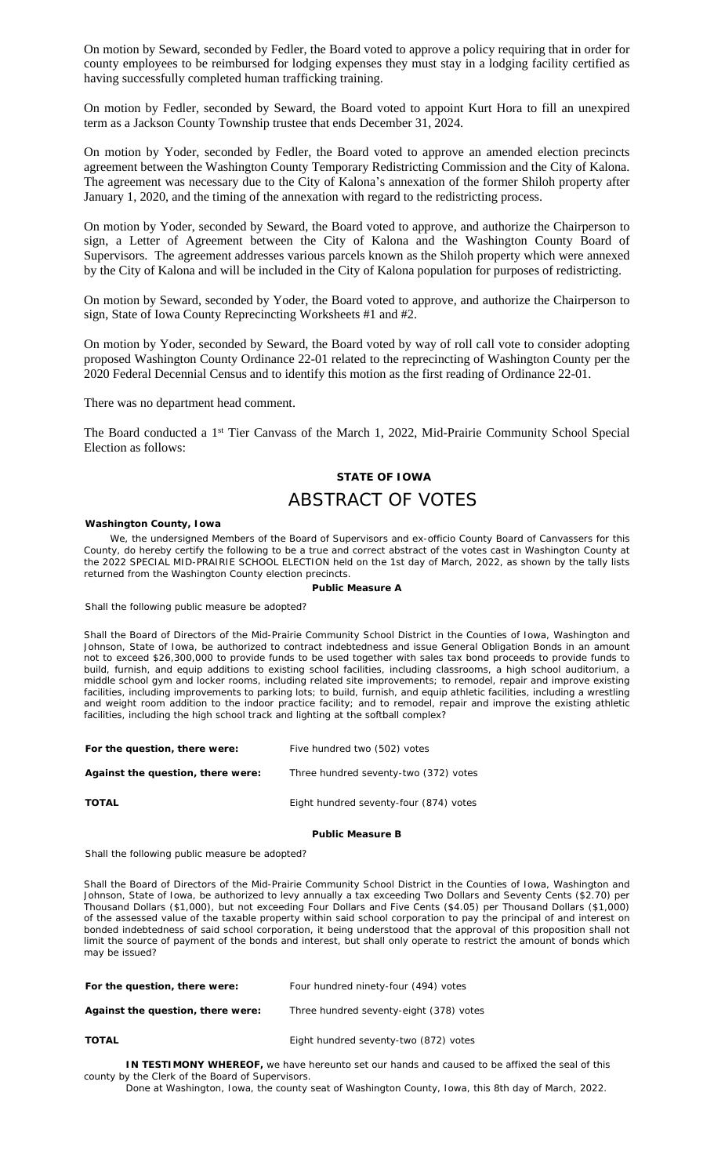On motion by Seward, seconded by Fedler, the Board voted to approve a policy requiring that in order for county employees to be reimbursed for lodging expenses they must stay in a lodging facility certified as having successfully completed human trafficking training.

On motion by Fedler, seconded by Seward, the Board voted to appoint Kurt Hora to fill an unexpired term as a Jackson County Township trustee that ends December 31, 2024.

On motion by Yoder, seconded by Fedler, the Board voted to approve an amended election precincts agreement between the Washington County Temporary Redistricting Commission and the City of Kalona. The agreement was necessary due to the City of Kalona's annexation of the former Shiloh property after January 1, 2020, and the timing of the annexation with regard to the redistricting process.

On motion by Yoder, seconded by Seward, the Board voted to approve, and authorize the Chairperson to sign, a Letter of Agreement between the City of Kalona and the Washington County Board of Supervisors. The agreement addresses various parcels known as the Shiloh property which were annexed by the City of Kalona and will be included in the City of Kalona population for purposes of redistricting.

On motion by Seward, seconded by Yoder, the Board voted to approve, and authorize the Chairperson to sign, State of Iowa County Reprecincting Worksheets #1 and #2.

On motion by Yoder, seconded by Seward, the Board voted by way of roll call vote to consider adopting proposed Washington County Ordinance 22-01 related to the reprecincting of Washington County per the 2020 Federal Decennial Census and to identify this motion as the first reading of Ordinance 22-01.

There was no department head comment.

The Board conducted a 1<sup>st</sup> Tier Canvass of the March 1, 2022, Mid-Prairie Community School Special Election as follows:

# **STATE OF IOWA**

# ABSTRACT OF VOTES

### **Washington County, Iowa**

We, the undersigned Members of the Board of Supervisors and ex-officio County Board of Canvassers for this County, do hereby certify the following to be a true and correct abstract of the votes cast in Washington County at the 2022 SPECIAL MID-PRAIRIE SCHOOL ELECTION held on the 1st day of March, 2022, as shown by the tally lists returned from the Washington County election precincts.

### **Public Measure A**

Shall the following public measure be adopted?

Shall the Board of Directors of the Mid-Prairie Community School District in the Counties of Iowa, Washington and Johnson, State of Iowa, be authorized to contract indebtedness and issue General Obligation Bonds in an amount not to exceed \$26,300,000 to provide funds to be used together with sales tax bond proceeds to provide funds to build, furnish, and equip additions to existing school facilities, including classrooms, a high school auditorium, a middle school gym and locker rooms, including related site improvements; to remodel, repair and improve existing facilities, including improvements to parking lots; to build, furnish, and equip athletic facilities, including a wrestling and weight room addition to the indoor practice facility; and to remodel, repair and improve the existing athletic facilities, including the high school track and lighting at the softball complex?

| For the question, there were:     | Five hundred two (502) votes           |
|-----------------------------------|----------------------------------------|
| Against the question, there were: | Three hundred seventy-two (372) votes  |
| <b>TOTAL</b>                      | Eight hundred seventy-four (874) votes |

### **Public Measure B**

Shall the following public measure be adopted?

Shall the Board of Directors of the Mid-Prairie Community School District in the Counties of Iowa, Washington and Johnson, State of Iowa, be authorized to levy annually a tax exceeding Two Dollars and Seventy Cents (\$2.70) per Thousand Dollars (\$1,000), but not exceeding Four Dollars and Five Cents (\$4.05) per Thousand Dollars (\$1,000) of the assessed value of the taxable property within said school corporation to pay the principal of and interest on bonded indebtedness of said school corporation, it being understood that the approval of this proposition shall not limit the source of payment of the bonds and interest, but shall only operate to restrict the amount of bonds which may be issued?

| For the question, there were:     | Four hundred ninety-four (494) votes    |
|-----------------------------------|-----------------------------------------|
| Against the question, there were: | Three hundred seventy-eight (378) votes |
| <b>TOTAL</b>                      | Eight hundred seventy-two (872) votes   |

**IN TESTIMONY WHEREOF,** we have hereunto set our hands and caused to be affixed the seal of this county by the Clerk of the Board of Supervisors.

Done at Washington, Iowa, the county seat of Washington County, Iowa, this 8th day of March, 2022.